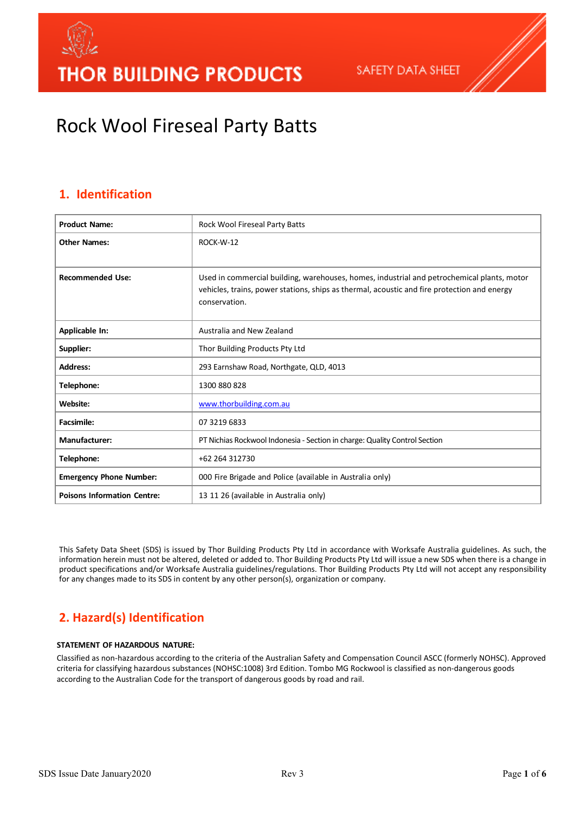

# Rock Wool Fireseal Party Batts

### **1. Identification**

| <b>Product Name:</b>               | Rock Wool Fireseal Party Batts                                                                                                                                                                             |
|------------------------------------|------------------------------------------------------------------------------------------------------------------------------------------------------------------------------------------------------------|
| <b>Other Names:</b>                | ROCK-W-12                                                                                                                                                                                                  |
| <b>Recommended Use:</b>            | Used in commercial building, warehouses, homes, industrial and petrochemical plants, motor<br>vehicles, trains, power stations, ships as thermal, acoustic and fire protection and energy<br>conservation. |
| Applicable In:                     | Australia and New Zealand                                                                                                                                                                                  |
| Supplier:                          | Thor Building Products Pty Ltd                                                                                                                                                                             |
| <b>Address:</b>                    | 293 Earnshaw Road, Northgate, QLD, 4013                                                                                                                                                                    |
| Telephone:                         | 1300 880 828                                                                                                                                                                                               |
| Website:                           | www.thorbuilding.com.au                                                                                                                                                                                    |
| <b>Facsimile:</b>                  | 07 3219 6833                                                                                                                                                                                               |
| <b>Manufacturer:</b>               | PT Nichias Rockwool Indonesia - Section in charge: Quality Control Section                                                                                                                                 |
| Telephone:                         | +62 264 312730                                                                                                                                                                                             |
| <b>Emergency Phone Number:</b>     | 000 Fire Brigade and Police (available in Australia only)                                                                                                                                                  |
| <b>Poisons Information Centre:</b> | 13 11 26 (available in Australia only)                                                                                                                                                                     |

This Safety Data Sheet (SDS) is issued by Thor Building Products Pty Ltd in accordance with Worksafe Australia guidelines. As such, the information herein must not be altered, deleted or added to. Thor Building Products Pty Ltd will issue a new SDS when there is a change in product specifications and/or Worksafe Australia guidelines/regulations. Thor Building Products Pty Ltd will not accept any responsibility for any changes made to its SDS in content by any other person(s), organization or company.

### **2. Hazard(s) Identification**

#### **STATEMENT OF HAZARDOUS NATURE:**

Classified as non-hazardous according to the criteria of the Australian Safety and Compensation Council ASCC (formerly NOHSC). Approved criteria for classifying hazardous substances (NOHSC:1008) 3rd Edition. Tombo MG Rockwool is classified as non-dangerous goods according to the Australian Code for the transport of dangerous goods by road and rail.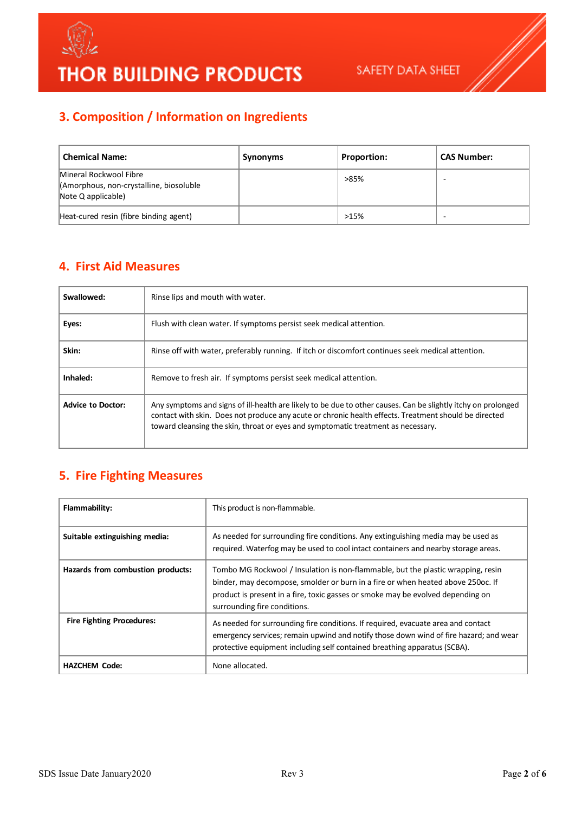

### **3. Composition / Information on Ingredients**

| <b>Chemical Name:</b>                                                                   | Synonyms | <b>Proportion:</b> | <b>CAS Number:</b> |
|-----------------------------------------------------------------------------------------|----------|--------------------|--------------------|
| Mineral Rockwool Fibre<br>(Amorphous, non-crystalline, biosoluble<br>Note Q applicable) |          | >85%               |                    |
| Heat-cured resin (fibre binding agent)                                                  |          | >15%               |                    |

## **4. First Aid Measures**

| Swallowed:               | Rinse lips and mouth with water.                                                                                                                                                                                                                                                                            |
|--------------------------|-------------------------------------------------------------------------------------------------------------------------------------------------------------------------------------------------------------------------------------------------------------------------------------------------------------|
| Eyes:                    | Flush with clean water. If symptoms persist seek medical attention.                                                                                                                                                                                                                                         |
| Skin:                    | Rinse off with water, preferably running. If itch or discomfort continues seek medical attention.                                                                                                                                                                                                           |
| Inhaled:                 | Remove to fresh air. If symptoms persist seek medical attention.                                                                                                                                                                                                                                            |
| <b>Advice to Doctor:</b> | Any symptoms and signs of ill-health are likely to be due to other causes. Can be slightly itchy on prolonged<br>contact with skin. Does not produce any acute or chronic health effects. Treatment should be directed<br>toward cleansing the skin, throat or eyes and symptomatic treatment as necessary. |

### **5. Fire Fighting Measures**

| Flammability:                     | This product is non-flammable.                                                                                                                                                                                                                                                         |
|-----------------------------------|----------------------------------------------------------------------------------------------------------------------------------------------------------------------------------------------------------------------------------------------------------------------------------------|
| Suitable extinguishing media:     | As needed for surrounding fire conditions. Any extinguishing media may be used as<br>required. Waterfog may be used to cool intact containers and nearby storage areas.                                                                                                                |
| Hazards from combustion products: | Tombo MG Rockwool / Insulation is non-flammable, but the plastic wrapping, resin<br>binder, may decompose, smolder or burn in a fire or when heated above 250oc. If<br>product is present in a fire, toxic gasses or smoke may be evolved depending on<br>surrounding fire conditions. |
| <b>Fire Fighting Procedures:</b>  | As needed for surrounding fire conditions. If required, evacuate area and contact<br>emergency services; remain upwind and notify those down wind of fire hazard; and wear<br>protective equipment including self contained breathing apparatus (SCBA).                                |
| <b>HAZCHEM Code:</b>              | None allocated.                                                                                                                                                                                                                                                                        |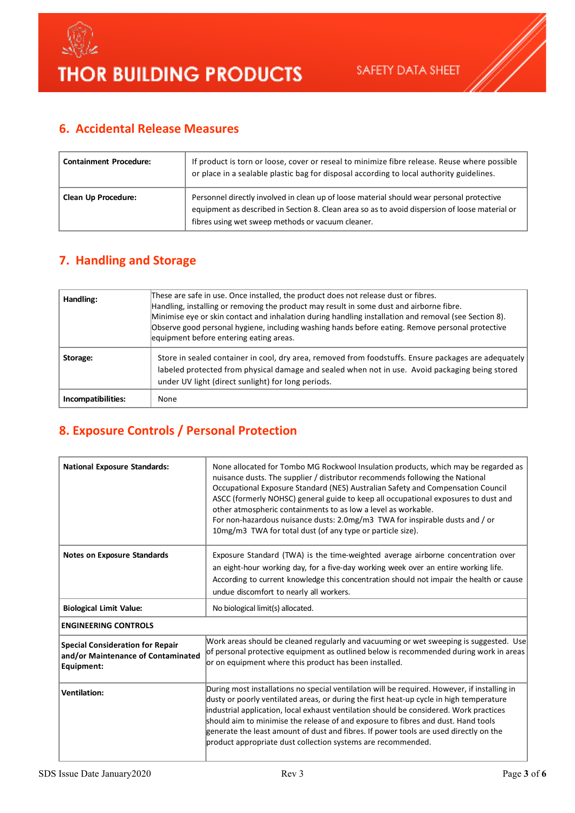

### **6. Accidental Release Measures**

| <b>Containment Procedure:</b> | If product is torn or loose, cover or reseal to minimize fibre release. Reuse where possible<br>or place in a sealable plastic bag for disposal according to local authority guidelines.                                                         |
|-------------------------------|--------------------------------------------------------------------------------------------------------------------------------------------------------------------------------------------------------------------------------------------------|
| <b>Clean Up Procedure:</b>    | Personnel directly involved in clean up of loose material should wear personal protective<br>equipment as described in Section 8. Clean area so as to avoid dispersion of loose material or<br>fibres using wet sweep methods or vacuum cleaner. |

### **7. Handling and Storage**

| Handling:          | These are safe in use. Once installed, the product does not release dust or fibres.<br>Handling, installing or removing the product may result in some dust and airborne fibre.<br>Minimise eye or skin contact and inhalation during handling installation and removal (see Section 8).<br>Observe good personal hygiene, including washing hands before eating. Remove personal protective<br>equipment before entering eating areas. |
|--------------------|-----------------------------------------------------------------------------------------------------------------------------------------------------------------------------------------------------------------------------------------------------------------------------------------------------------------------------------------------------------------------------------------------------------------------------------------|
| Storage:           | Store in sealed container in cool, dry area, removed from foodstuffs. Ensure packages are adequately<br>labeled protected from physical damage and sealed when not in use. Avoid packaging being stored<br>under UV light (direct sunlight) for long periods.                                                                                                                                                                           |
| Incompatibilities: | None                                                                                                                                                                                                                                                                                                                                                                                                                                    |

### **8. Exposure Controls / Personal Protection**

| <b>National Exposure Standards:</b>                                                         | None allocated for Tombo MG Rockwool Insulation products, which may be regarded as<br>nuisance dusts. The supplier / distributor recommends following the National<br>Occupational Exposure Standard (NES) Australian Safety and Compensation Council<br>ASCC (formerly NOHSC) general guide to keep all occupational exposures to dust and<br>other atmospheric containments to as low a level as workable.<br>For non-hazardous nuisance dusts: 2.0mg/m3 TWA for inspirable dusts and / or<br>10mg/m3 TWA for total dust (of any type or particle size). |
|---------------------------------------------------------------------------------------------|------------------------------------------------------------------------------------------------------------------------------------------------------------------------------------------------------------------------------------------------------------------------------------------------------------------------------------------------------------------------------------------------------------------------------------------------------------------------------------------------------------------------------------------------------------|
| <b>Notes on Exposure Standards</b>                                                          | Exposure Standard (TWA) is the time-weighted average airborne concentration over<br>an eight-hour working day, for a five-day working week over an entire working life.<br>According to current knowledge this concentration should not impair the health or cause<br>undue discomfort to nearly all workers.                                                                                                                                                                                                                                              |
| <b>Biological Limit Value:</b>                                                              | No biological limit(s) allocated.                                                                                                                                                                                                                                                                                                                                                                                                                                                                                                                          |
| <b>ENGINEERING CONTROLS</b>                                                                 |                                                                                                                                                                                                                                                                                                                                                                                                                                                                                                                                                            |
| <b>Special Consideration for Repair</b><br>and/or Maintenance of Contaminated<br>Equipment: | Work areas should be cleaned regularly and vacuuming or wet sweeping is suggested. Use<br>of personal protective equipment as outlined below is recommended during work in areas<br>or on equipment where this product has been installed.                                                                                                                                                                                                                                                                                                                 |
| <b>Ventilation:</b>                                                                         | During most installations no special ventilation will be required. However, if installing in<br>dusty or poorly ventilated areas, or during the first heat-up cycle in high temperature<br>industrial application, local exhaust ventilation should be considered. Work practices<br>should aim to minimise the release of and exposure to fibres and dust. Hand tools<br>generate the least amount of dust and fibres. If power tools are used directly on the<br>product appropriate dust collection systems are recommended.                            |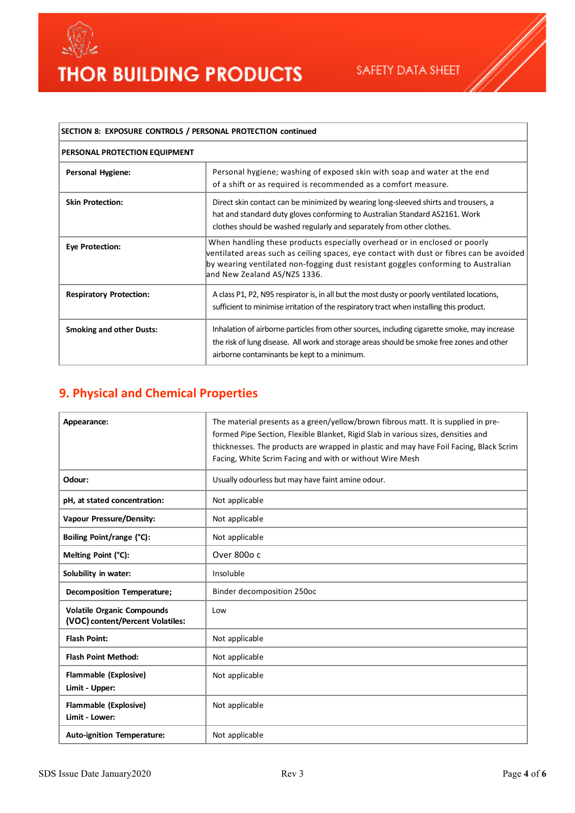



| SECTION 8: EXPOSURE CONTROLS / PERSONAL PROTECTION continued |                                                                                                                                                                                                                                                                                           |  |
|--------------------------------------------------------------|-------------------------------------------------------------------------------------------------------------------------------------------------------------------------------------------------------------------------------------------------------------------------------------------|--|
| PERSONAL PROTECTION EQUIPMENT                                |                                                                                                                                                                                                                                                                                           |  |
| <b>Personal Hygiene:</b>                                     | Personal hygiene; washing of exposed skin with soap and water at the end<br>of a shift or as required is recommended as a comfort measure.                                                                                                                                                |  |
| <b>Skin Protection:</b>                                      | Direct skin contact can be minimized by wearing long-sleeved shirts and trousers, a<br>hat and standard duty gloves conforming to Australian Standard AS2161. Work<br>clothes should be washed regularly and separately from other clothes.                                               |  |
| <b>Eye Protection:</b>                                       | When handling these products especially overhead or in enclosed or poorly<br>ventilated areas such as ceiling spaces, eye contact with dust or fibres can be avoided<br>by wearing ventilated non-fogging dust resistant goggles conforming to Australian<br>and New Zealand AS/NZS 1336. |  |
| <b>Respiratory Protection:</b>                               | A class P1, P2, N95 respirator is, in all but the most dusty or poorly ventilated locations,<br>sufficient to minimise irritation of the respiratory tract when installing this product.                                                                                                  |  |
| <b>Smoking and other Dusts:</b>                              | Inhalation of airborne particles from other sources, including cigarette smoke, may increase<br>the risk of lung disease. All work and storage areas should be smoke free zones and other<br>airborne contaminants be kept to a minimum.                                                  |  |

### **9. Physical and Chemical Properties**

| Appearance:                                                           | The material presents as a green/yellow/brown fibrous matt. It is supplied in pre-<br>formed Pipe Section, Flexible Blanket, Rigid Slab in various sizes, densities and<br>thicknesses. The products are wrapped in plastic and may have Foil Facing, Black Scrim<br>Facing, White Scrim Facing and with or without Wire Mesh |
|-----------------------------------------------------------------------|-------------------------------------------------------------------------------------------------------------------------------------------------------------------------------------------------------------------------------------------------------------------------------------------------------------------------------|
| Odour:                                                                | Usually odourless but may have faint amine odour.                                                                                                                                                                                                                                                                             |
| pH, at stated concentration:                                          | Not applicable                                                                                                                                                                                                                                                                                                                |
| <b>Vapour Pressure/Density:</b>                                       | Not applicable                                                                                                                                                                                                                                                                                                                |
| Boiling Point/range (°C):                                             | Not applicable                                                                                                                                                                                                                                                                                                                |
| Melting Point (°C):                                                   | Over 800o c                                                                                                                                                                                                                                                                                                                   |
| Solubility in water:                                                  | Insoluble                                                                                                                                                                                                                                                                                                                     |
| <b>Decomposition Temperature;</b>                                     | Binder decomposition 250oc                                                                                                                                                                                                                                                                                                    |
| <b>Volatile Organic Compounds</b><br>(VOC) content/Percent Volatiles: | Low                                                                                                                                                                                                                                                                                                                           |
| <b>Flash Point:</b>                                                   | Not applicable                                                                                                                                                                                                                                                                                                                |
| <b>Flash Point Method:</b>                                            | Not applicable                                                                                                                                                                                                                                                                                                                |
| Flammable (Explosive)<br>Limit - Upper:                               | Not applicable                                                                                                                                                                                                                                                                                                                |
| Flammable (Explosive)<br>Limit - Lower:                               | Not applicable                                                                                                                                                                                                                                                                                                                |
| Auto-ignition Temperature:                                            | Not applicable                                                                                                                                                                                                                                                                                                                |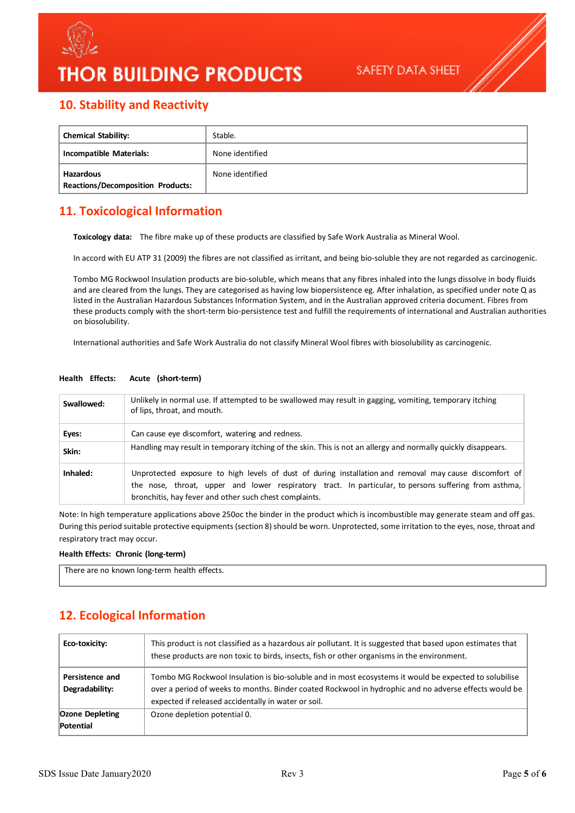

## **THOR BUILDING PRODUCTS**

### **10. Stability and Reactivity**

| <b>Chemical Stability:</b>                            | Stable.         |
|-------------------------------------------------------|-----------------|
| Incompatible Materials:                               | None identified |
| Hazardous<br><b>Reactions/Decomposition Products:</b> | None identified |

### **11. Toxicological Information**

**Toxicology data:** The fibre make up of these products are classified by Safe Work Australia as Mineral Wool.

In accord with EU ATP 31 (2009) the fibres are not classified as irritant, and being bio-soluble they are not regarded as carcinogenic.

Tombo MG Rockwool Insulation products are bio-soluble, which means that any fibres inhaled into the lungs dissolve in body fluids and are cleared from the lungs. They are categorised as having low biopersistence eg. After inhalation, as specified under note Q as listed in the Australian Hazardous Substances Information System, and in the Australian approved criteria document. Fibres from these products comply with the short-term bio-persistence test and fulfill the requirements of international and Australian authorities on biosolubility.

International authorities and Safe Work Australia do not classify Mineral Wool fibres with biosolubility as carcinogenic.

| Swallowed: | Unlikely in normal use. If attempted to be swallowed may result in gagging, vomiting, temporary itching<br>of lips, throat, and mouth.                                                                                                                                    |
|------------|---------------------------------------------------------------------------------------------------------------------------------------------------------------------------------------------------------------------------------------------------------------------------|
| Eyes:      | Can cause eye discomfort, watering and redness.                                                                                                                                                                                                                           |
| Skin:      | Handling may result in temporary itching of the skin. This is not an allergy and normally quickly disappears.                                                                                                                                                             |
| Inhaled:   | Unprotected exposure to high levels of dust of during installation and removal may cause discomfort of<br>the nose, throat, upper and lower respiratory tract. In particular, to persons suffering from asthma,<br>bronchitis, hay fever and other such chest complaints. |

#### **Health Effects: Acute (short-term)**

Note: In high temperature applications above 250oc the binder in the product which is incombustible may generate steam and off gas. During this period suitable protective equipments (section 8) should be worn. Unprotected, some irritation to the eyes, nose, throat and respiratory tract may occur.

**Health Effects: Chronic (long-term)** 

| There are no known long-term health effects. |  |
|----------------------------------------------|--|
|----------------------------------------------|--|

### **12. Ecological Information**

| Eco-toxicity:                       | This product is not classified as a hazardous air pollutant. It is suggested that based upon estimates that<br>these products are non toxic to birds, insects, fish or other organisms in the environment.                                                            |
|-------------------------------------|-----------------------------------------------------------------------------------------------------------------------------------------------------------------------------------------------------------------------------------------------------------------------|
| Persistence and<br>Degradability:   | Tombo MG Rockwool Insulation is bio-soluble and in most ecosystems it would be expected to solubilise<br>over a period of weeks to months. Binder coated Rockwool in hydrophic and no adverse effects would be<br>expected if released accidentally in water or soil. |
| <b>Ozone Depleting</b><br>Potential | Ozone depletion potential 0.                                                                                                                                                                                                                                          |